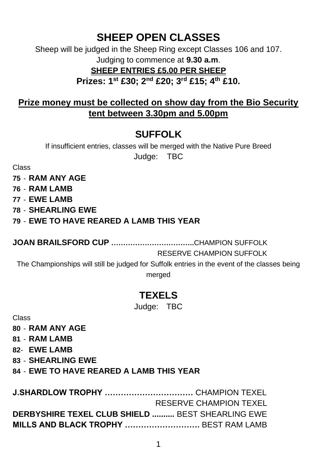# **SHEEP OPEN CLASSES**

Sheep will be judged in the Sheep Ring except Classes 106 and 107. Judging to commence at **9.30 a.m**.

#### **SHEEP ENTRIES £5.00 PER SHEEP**

**Prizes: 1st £30; 2nd £20; 3rd £15; 4th £10.**

#### **Prize money must be collected on show day from the Bio Security tent between 3.30pm and 5.00pm**

# **SUFFOLK**

If insufficient entries, classes will be merged with the Native Pure Breed Judge: TBC

Class

Class

- **75 RAM ANY AGE**
- **76 RAM LAMB**
- **77 EWE LAMB**
- **78 SHEARLING EWE**

#### **79** - **EWE TO HAVE REARED A LAMB THIS YEAR**

**JOAN BRAILSFORD CUP ……………………………..**CHAMPION SUFFOLK

#### RESERVE CHAMPION SUFFOLK

**J.SHARDLOW TROPHY ……………………………** CHAMPION TEXEL

The Championships will still be judged for Suffolk entries in the event of the classes being

merged

## **TEXELS**

Judge: TBC

| 80 - RAM ANY AGE                                |
|-------------------------------------------------|
| 81 - RAM LAMB                                   |
| 82- EWE LAMB                                    |
| <b>83 - SHEARLING EWE</b>                       |
| <b>84 - EWE TO HAVE REARED A LAMB THIS YEAR</b> |
|                                                 |
|                                                 |

|                                                         | RESERVE CHAMPION TEXEL |
|---------------------------------------------------------|------------------------|
| <b>DERBYSHIRE TEXEL CLUB SHIELD  BEST SHEARLING EWE</b> |                        |
|                                                         |                        |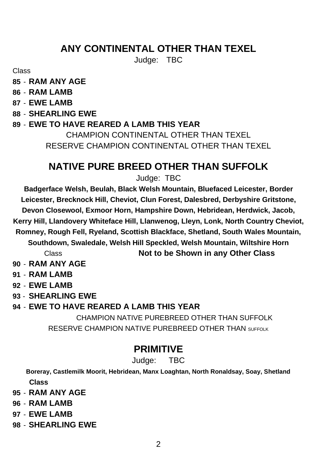## **ANY CONTINENTAL OTHER THAN TEXEL**

Judge: TBC

Class

**85** - **RAM ANY AGE**

**86** - **RAM LAMB**

**87** - **EWE LAMB**

**88** - **SHEARLING EWE**

**89** - **EWE TO HAVE REARED A LAMB THIS YEAR**

CHAMPION CONTINENTAL OTHER THAN TEXEL RESERVE CHAMPION CONTINENTAL OTHER THAN TEXEL

# **NATIVE PURE BREED OTHER THAN SUFFOLK**

Judge: TBC

**[Badgerface Welsh,](http://en.wikipedia.org/w/index.php?title=Badgerface_Welsh&action=edit&redlink=1) [Beulah,](http://en.wikipedia.org/w/index.php?title=Beulah_sheep&action=edit&redlink=1) [Black Welsh Mountain,](http://en.wikipedia.org/wiki/Black_Welsh_Mountain) [Bluefaced Leicester,](http://en.wikipedia.org/wiki/Bluefaced_Leicester) [Border](http://en.wikipedia.org/wiki/Border_Leicester)  [Leicester,](http://en.wikipedia.org/wiki/Border_Leicester) [Brecknock Hill,](http://en.wikipedia.org/w/index.php?title=Brecknock_Hill&action=edit&redlink=1) [Cheviot,](http://en.wikipedia.org/wiki/Cheviot_sheep) [Clun Forest,](http://en.wikipedia.org/wiki/Clun_Forest_sheep) [Dalesbred,](http://en.wikipedia.org/wiki/Dalesbred) [Derbyshire Gritstone,](http://en.wikipedia.org/wiki/Derbyshire_Gritstone)  [Devon Closewool,](http://en.wikipedia.org/wiki/Devon_Closewool) [Exmoor Horn,](http://en.wikipedia.org/wiki/Exmoor_Horn) [Hampshire Down,](http://en.wikipedia.org/w/index.php?title=Hampshire_Down&action=edit&redlink=1) [Hebridean,](http://en.wikipedia.org/wiki/Hebridean_(sheep)) [Herdwick,](http://en.wikipedia.org/wiki/Herdwick) [Jacob,](http://en.wikipedia.org/wiki/Jacob_(sheep))  [Kerry Hill,](http://en.wikipedia.org/wiki/Kerry_Hill_(sheep)) [Llandovery Whiteface Hill,](http://en.wikipedia.org/w/index.php?title=Llandovery_Whiteface_Hill&action=edit&redlink=1) [Llanwenog,](http://en.wikipedia.org/wiki/Llanwenog_(sheep)) [Lleyn,](http://en.wikipedia.org/wiki/Lleyn_sheep) [Lonk,](http://en.wikipedia.org/wiki/Lonk) [North Country Cheviot,](http://en.wikipedia.org/wiki/North_Country_Cheviot)  Romney, Rough Fell, Ryeland, Scottish Blackface, Shetland, South Wales Mountain, Southdown, Swaledale, Welsh Hill Speckled, Welsh Mountain, Wiltshire Horn** Class **Not to be Shown in any Other Class**

**90** - **RAM ANY AGE**

**91** - **RAM LAMB**

**92** - **EWE LAMB**

**93** - **SHEARLING EWE**

**94** - **EWE TO HAVE REARED A LAMB THIS YEAR**

CHAMPION NATIVE PUREBREED OTHER THAN SUFFOLK RESERVE CHAMPION NATIVE PUREBREED OTHER THAN SUFFOLK

## **PRIMITIVE**

Judge: TBC

**Boreray, Castlemilk Moorit, Hebridean, Manx Loaghtan, North Ronaldsay, Soay, Shetland Class**

- **95 RAM ANY AGE**
- **96 RAM LAMB**
- **97 EWE LAMB**
- **98 SHEARLING EWE**